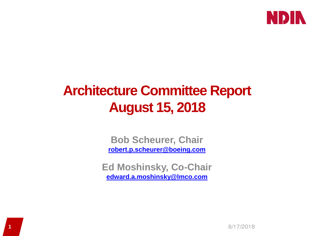

# **Architecture Committee Report August 15, 2018**

**Bob Scheurer, Chair [robert.p.scheurer@boeing.com](mailto:robert.p.scheurer@boeing.com)**

**Ed Moshinsky, Co-Chair [edward.a.moshinsky@lmco.com](mailto:edward.a.moshinsky@lmco.com)**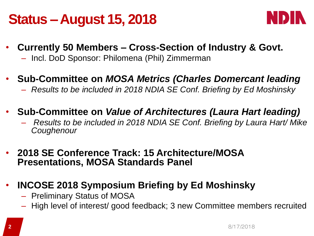## **Status –August 15, 2018**



- **Currently 50 Members – Cross-Section of Industry & Govt.**
	- Incl. DoD Sponsor: Philomena (Phil) Zimmerman
- **Sub-Committee on** *MOSA Metrics (Charles Domercant leading*
	- *Results to be included in 2018 NDIA SE Conf. Briefing by Ed Moshinsky*
- **Sub-Committee on** *Value of Architectures (Laura Hart leading)*
	- *Results to be included in 2018 NDIA SE Conf. Briefing by Laura Hart/ Mike Coughenour*
- **2018 SE Conference Track: 15 Architecture/MOSA Presentations, MOSA Standards Panel**
- **INCOSE 2018 Symposium Briefing by Ed Moshinsky**
	- Preliminary Status of MOSA
	- High level of interest/ good feedback; 3 new Committee members recruited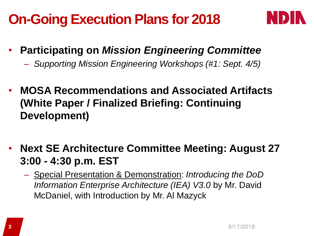# **On-Going Execution Plans for 2018**



- **Participating on** *Mission Engineering Committee*
	- *Supporting Mission Engineering Workshops (#1: Sept. 4/5)*
- **MOSA Recommendations and Associated Artifacts (White Paper / Finalized Briefing: Continuing Development)**
- **Next SE Architecture Committee Meeting: August 27 3:00 - 4:30 p.m. EST**
	- Special Presentation & Demonstration: *Introducing the DoD Information Enterprise Architecture (IEA) V3.0* by Mr. David McDaniel, with Introduction by Mr. Al Mazyck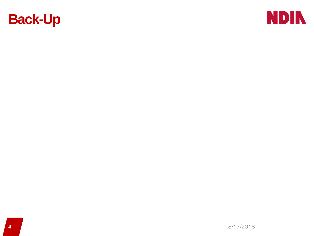

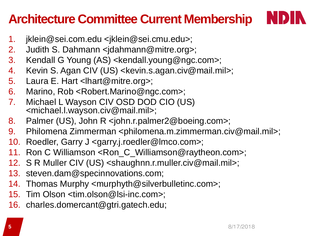### **Architecture Committee Current Membership**



- 1. jklein@sei.com.edu <jklein@sei.cmu.edu>;
- 2. Judith S. Dahmann <jdahmann@mitre.org>;
- 3. Kendall G Young (AS) <kendall.young@ngc.com>;
- 4. Kevin S. Agan CIV (US) <kevin.s.agan.civ@mail.mil>;
- 5. Laura E. Hart <lhart@mitre.org>;
- 6. Marino, Rob <Robert.Marino@ngc.com>;
- 7. Michael L Wayson CIV OSD DOD CIO (US) <michael.l.wayson.civ@mail.mil>;
- 8. Palmer (US), John R <john.r.palmer2@boeing.com>;
- 9. Philomena Zimmerman <philomena.m.zimmerman.civ@mail.mil>;
- 10. Roedler, Garry J <garry.j.roedler@lmco.com>;
- 11. Ron C Williamson <Ron\_C\_Williamson@raytheon.com>;
- 12. S R Muller CIV (US) <shaughnn.r.muller.civ@mail.mil>;
- 13. steven.dam@specinnovations.com;
- 14. Thomas Murphy <murphyth@silverbulletinc.com>;
- 15. Tim Olson <tim.olson@lsi-inc.com>;
- 16. charles.domercant@gtri.gatech.edu;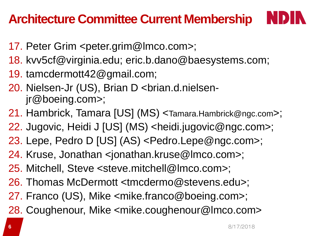#### **Architecture Committee Current Membership**

- 17. Peter Grim <peter.grim@lmco.com>;
- 18. kvv5cf@virginia.edu; eric.b.dano@baesystems.com;
- 19. tamcdermott42@gmail.com;
- 20. Nielsen-Jr (US), Brian D <brian.d.nielsenjr@boeing.com>;
- 21. Hambrick, Tamara [US] (MS) <Tamara.Hambrick@ngc.com>;
- 22. Jugovic, Heidi J [US] (MS) <heidi.jugovic@ngc.com>;
- 23. Lepe, Pedro D [US] (AS) <Pedro.Lepe@ngc.com>;
- 24. Kruse, Jonathan <jonathan.kruse@lmco.com>;
- 25. Mitchell, Steve <steve.mitchell@lmco.com>;
- 26. Thomas McDermott <tmcdermo@stevens.edu>;
- 27. Franco (US), Mike <mike.franco@boeing.com>;
- 28. Coughenour, Mike <mike.coughenour@lmco.com>